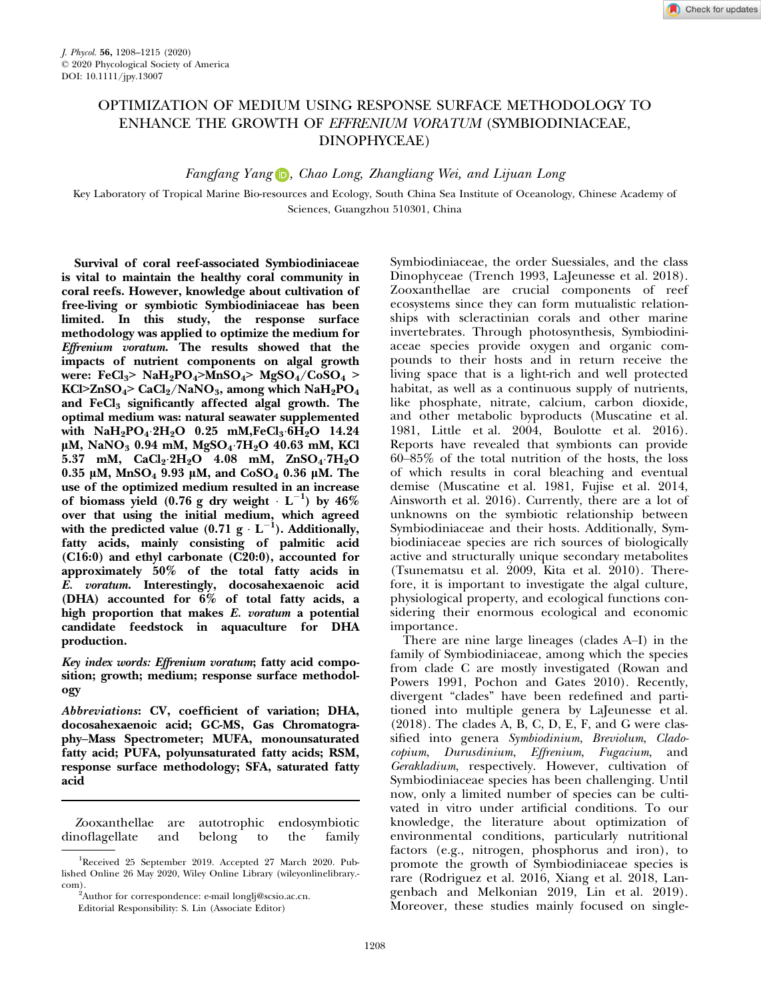# OPTIMIZATION OF MEDIUM USING RESPONSE SURFACE METHODOLOGY TO ENHANCE THE GROWTH OF EFFRENIUM VORATUM (SYMBIODINIACEAE, DINOPHYCEAE)

Fangfang Yang **D**, Chao Long, Zhangliang Wei, and Lijuan Long

Key Laboratory of Tropical Marine Bio-resources and Ecology, South China Sea Institute of Oceanology, Chinese Academy of Sciences, Guangzhou 510301, China

Survival of coral reef-associated Symbiodiniaceae is vital to maintain the healthy coral community in coral reefs. However, knowledge about cultivation of free-living or symbiotic Symbiodiniaceae has been limited. In this study, the response surface methodology was applied to optimize the medium for Effrenium voratum. The results showed that the impacts of nutrient components on algal growth were: FeCl<sub>3</sub>> NaH<sub>2</sub>PO<sub>4</sub>>MnSO<sub>4</sub>> MgSO<sub>4</sub>/CoSO<sub>4</sub> > KCl>ZnSO<sub>4</sub>> CaCl<sub>2</sub>/NaNO<sub>3</sub>, among which NaH<sub>2</sub>PO<sub>4</sub> and FeCl<sub>3</sub> significantly affected algal growth. The optimal medium was: natural seawater supplemented with  $NaH_2PO_4.2H_2O$  0.25 mM,  $FeCl_3.6H_2O$  14.24  $\mu$ M, NaNO<sub>3</sub> 0.94 mM, MgSO<sub>4</sub> 7H<sub>2</sub>O 40.63 mM, KCl 5.37 mM,  $CaCl_2 \cdot 2H_2O$  4.08 mM,  $ZnSO_4 \cdot 7H_2O$  $0.35$  μM, MnSO<sub>4</sub> 9.93 μM, and CoSO<sub>4</sub> 0.36 μM. The use of the optimized medium resulted in an increase of biomass yield  $(0.76 \text{ g dry weight} \cdot \text{L}^{-1})$  by  $46\%$ over that using the initial medium, which agreed with the predicted value  $(0.71 \text{ g} \cdot \text{L}^{-1})$ . Additionally, fatty acids, mainly consisting of palmitic acid  $(C16:0)$  and ethyl carbonate  $(C20:0)$ , accounted for approximately 50% of the total fatty acids in E. voratum. Interestingly, docosahexaenoic acid (DHA) accounted for 6% of total fatty acids, a high proportion that makes E. voratum a potential candidate feedstock in aquaculture for DHA production.

Key index words: Effrenium voratum; fatty acid composition; growth; medium; response surface methodology

Abbreviations: CV, coefficient of variation; DHA, docosahexaenoic acid; GC-MS, Gas Chromatography–Mass Spectrometer; MUFA, monounsaturated fatty acid; PUFA, polyunsaturated fatty acids; RSM, response surface methodology; SFA, saturated fatty acid

Zooxanthellae are autotrophic endosymbiotic dinoflagellate and belong to the family Symbiodiniaceae, the order Suessiales, and the class Dinophyceae (Trench 1993, LaJeunesse et al. 2018). Zooxanthellae are crucial components of reef ecosystems since they can form mutualistic relationships with scleractinian corals and other marine invertebrates. Through photosynthesis, Symbiodiniaceae species provide oxygen and organic compounds to their hosts and in return receive the living space that is a light-rich and well protected habitat, as well as a continuous supply of nutrients, like phosphate, nitrate, calcium, carbon dioxide, and other metabolic byproducts (Muscatine et al. 1981, Little et al. 2004, Boulotte et al. 2016). Reports have revealed that symbionts can provide 60–85% of the total nutrition of the hosts, the loss of which results in coral bleaching and eventual demise (Muscatine et al. 1981, Fujise et al. 2014, Ainsworth et al. 2016). Currently, there are a lot of unknowns on the symbiotic relationship between Symbiodiniaceae and their hosts. Additionally, Symbiodiniaceae species are rich sources of biologically active and structurally unique secondary metabolites (Tsunematsu et al. 2009, Kita et al. 2010). Therefore, it is important to investigate the algal culture, physiological property, and ecological functions considering their enormous ecological and economic importance.

There are nine large lineages (clades A–I) in the family of Symbiodiniaceae, among which the species from clade C are mostly investigated (Rowan and Powers 1991, Pochon and Gates 2010). Recently, divergent "clades" have been redefined and partitioned into multiple genera by LaJeunesse et al.  $(2018)$ . The clades A, B, C, D, E, F, and G were classified into genera Symbiodinium, Breviolum, Cladocopium, Durusdinium, Effrenium, Fugacium, and Gerakladium, respectively. However, cultivation of Symbiodiniaceae species has been challenging. Until now, only a limited number of species can be cultivated in vitro under artificial conditions. To our knowledge, the literature about optimization of environmental conditions, particularly nutritional factors (e.g., nitrogen, phosphorus and iron), to promote the growth of Symbiodiniaceae species is rare (Rodriguez et al. 2016, Xiang et al. 2018, Langenbach and Melkonian 2019, Lin et al. 2019). Moreover, these studies mainly focused on single-

<sup>&</sup>lt;sup>1</sup>Received 25 September 2019. Accepted 27 March 2020. Published Online 26 May 2020, Wiley Online Library (wileyonlinelibrary. com).

<sup>&</sup>lt;sup>2</sup>Author for correspondence: e-mail longlj@scsio.ac.cn.

Editorial Responsibility: S. Lin (Associate Editor)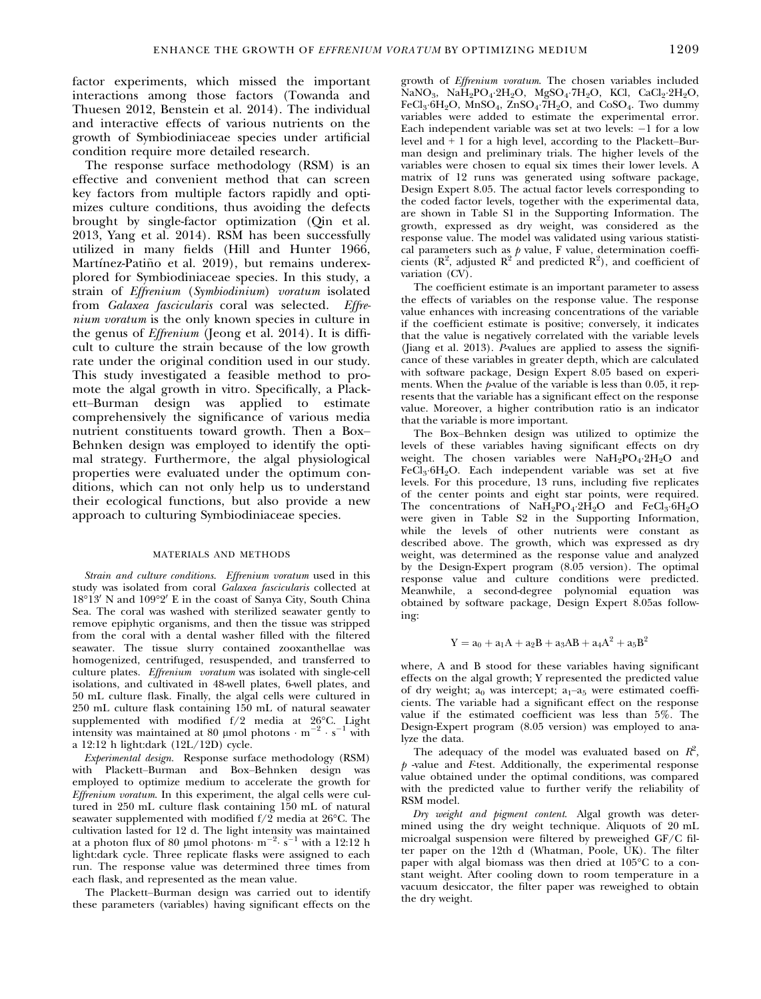factor experiments, which missed the important interactions among those factors (Towanda and Thuesen 2012, Benstein et al. 2014). The individual and interactive effects of various nutrients on the growth of Symbiodiniaceae species under artificial condition require more detailed research.

The response surface methodology (RSM) is an effective and convenient method that can screen key factors from multiple factors rapidly and optimizes culture conditions, thus avoiding the defects brought by single-factor optimization (Qin et al. 2013, Yang et al. 2014). RSM has been successfully utilized in many fields (Hill and Hunter 1966, Martínez-Patiño et al. 2019), but remains underexplored for Symbiodiniaceae species. In this study, a strain of Effrenium (Symbiodinium) voratum isolated from Galaxea fascicularis coral was selected. Effrenium voratum is the only known species in culture in the genus of Effrenium (Jeong et al. 2014). It is difficult to culture the strain because of the low growth rate under the original condition used in our study. This study investigated a feasible method to promote the algal growth in vitro. Specifically, a Plackett–Burman design was applied to estimate comprehensively the significance of various media nutrient constituents toward growth. Then a Box– Behnken design was employed to identify the optimal strategy. Furthermore, the algal physiological properties were evaluated under the optimum conditions, which can not only help us to understand their ecological functions, but also provide a new approach to culturing Symbiodiniaceae species.

## MATERIALS AND METHODS

Strain and culture conditions. Effrenium voratum used in this study was isolated from coral Galaxea fascicularis collected at  $18^{\circ}13'$  N and  $109^{\circ}2'$  E in the coast of Sanya City, South China Sea. The coral was washed with sterilized seawater gently to remove epiphytic organisms, and then the tissue was stripped from the coral with a dental washer filled with the filtered seawater. The tissue slurry contained zooxanthellae was homogenized, centrifuged, resuspended, and transferred to culture plates. Effrenium voratum was isolated with single-cell isolations, and cultivated in 48-well plates, 6-well plates, and 50 mL culture flask. Finally, the algal cells were cultured in 250 mL culture flask containing 150 mL of natural seawater supplemented with modified  $f/2$  media at  $26^{\circ}$ C. Light intensity was maintained at 80 µmol photons  $\cdot$  m<sup>-2</sup>  $\cdot$  s<sup>-</sup> <sup>1</sup> with a 12:12 h light:dark (12L/12D) cycle.

Experimental design. Response surface methodology (RSM) with Plackett–Burman and Box–Behnken design was employed to optimize medium to accelerate the growth for Effrenium voratum. In this experiment, the algal cells were cultured in 250 mL culture flask containing 150 mL of natural seawater supplemented with modified  $f/2$  media at 26°C. The cultivation lasted for 12 d. The light intensity was maintained<br>at a photon flux of 80 µmol photons  $\text{m}^{-2} \text{ s}^{-1}$  with a 12:12 h light:dark cycle. Three replicate flasks were assigned to each run. The response value was determined three times from each flask, and represented as the mean value.

The Plackett–Burman design was carried out to identify these parameters (variables) having significant effects on the growth of Effrenium voratum. The chosen variables included  $\overline{\text{NaNO}_3}$ ,  $\overline{\text{NaH}_2\text{PO}_4}$   $2\text{H}_2\text{O}$ ,  $\overline{\text{MgSO}_4}$   $7\text{H}_2\text{O}$ ,  $\overline{\text{KCl}}$ ,  $\overline{\text{CaCl}_2}$   $2\text{H}_2\text{O}$ ,  $FeCl<sub>3</sub>·6H<sub>2</sub>O$ , MnSO<sub>4</sub>, ZnSO<sub>4</sub><sup>, 7</sup>H<sub>2</sub>O, and CoSO<sub>4</sub>. Two dummy variables were added to estimate the experimental error. Each independent variable was set at two levels:  $-1$  for a low level and  $+1$  for a high level, according to the Plackett–Burman design and preliminary trials. The higher levels of the variables were chosen to equal six times their lower levels. A matrix of 12 runs was generated using software package, Design Expert 8.05. The actual factor levels corresponding to the coded factor levels, together with the experimental data, are shown in Table S1 in the Supporting Information. The growth, expressed as dry weight, was considered as the response value. The model was validated using various statistical parameters such as  $p$  value, F value, determination coefficients ( $\mathbb{R}^2$ , adjusted  $\mathbb{R}^2$  and predicted  $\mathbb{R}^2$ ), and coefficient of variation (CV).

The coefficient estimate is an important parameter to assess the effects of variables on the response value. The response value enhances with increasing concentrations of the variable if the coefficient estimate is positive; conversely, it indicates that the value is negatively correlated with the variable levels (Jiang et al. 2013). P-values are applied to assess the significance of these variables in greater depth, which are calculated with software package, Design Expert 8.05 based on experiments. When the p-value of the variable is less than 0.05, it represents that the variable has a significant effect on the response value. Moreover, a higher contribution ratio is an indicator that the variable is more important.

The Box–Behnken design was utilized to optimize the levels of these variables having significant effects on dry weight. The chosen variables were  $NaH_2PO_4.2H_2O$  and  $FeCl<sub>3</sub>·6H<sub>2</sub>O$ . Each independent variable was set at five levels. For this procedure, 13 runs, including five replicates of the center points and eight star points, were required. The concentrations of  $Na\overline{H}_2PO_4.2\overline{H}_2O$  and  $FeCl_3.6H_2O$ were given in Table S2 in the Supporting Information, while the levels of other nutrients were constant as described above. The growth, which was expressed as dry weight, was determined as the response value and analyzed by the Design-Expert program (8.05 version). The optimal response value and culture conditions were predicted. Meanwhile, a second-degree polynomial equation was obtained by software package, Design Expert 8.05as following:

$$
Y = a_0 + a_1A + a_2B + a_3AB + a_4A^2 + a_5B^2
$$

where, A and B stood for these variables having significant effects on the algal growth; Y represented the predicted value of dry weight;  $a_0$  was intercept;  $a_1$ - $a_5$  were estimated coefficients. The variable had a significant effect on the response value if the estimated coefficient was less than 5%. The Design-Expert program (8.05 version) was employed to analyze the data.

The adequacy of the model was evaluated based on  $R^2$ ,  $p$  -value and F-test. Additionally, the experimental response value obtained under the optimal conditions, was compared with the predicted value to further verify the reliability of RSM model.

Dry weight and pigment content. Algal growth was determined using the dry weight technique. Aliquots of 20 mL microalgal suspension were filtered by preweighed GF/C filter paper on the 12th d (Whatman, Poole, UK). The filter paper with algal biomass was then dried at 105°C to a constant weight. After cooling down to room temperature in a vacuum desiccator, the filter paper was reweighed to obtain the dry weight.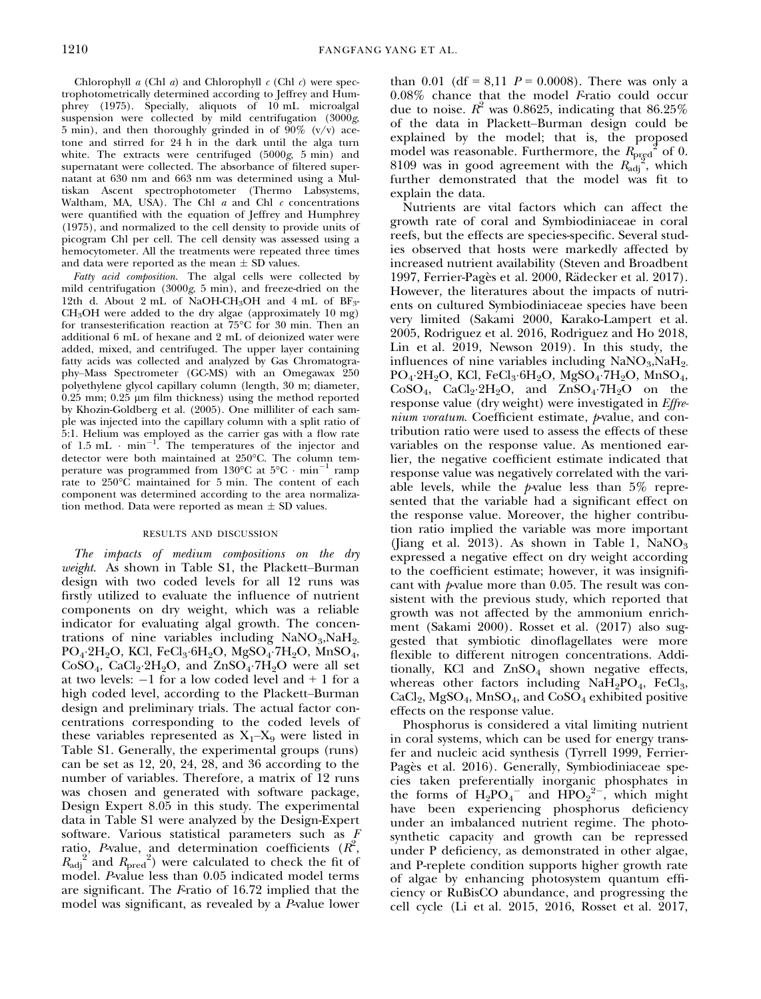Chlorophyll  $a$  (Chl  $a$ ) and Chlorophyll  $c$  (Chl  $c$ ) were spectrophotometrically determined according to Jeffrey and Humphrey (1975). Specially, aliquots of 10 mL microalgal suspension were collected by mild centrifugation (3000g, 5 min), and then thoroughly grinded in of  $90\%$  (v/v) acetone and stirred for 24 h in the dark until the alga turn white. The extracts were centrifuged (5000g, 5 min) and supernatant were collected. The absorbance of filtered supernatant at 630 nm and 663 nm was determined using a Multiskan Ascent spectrophotometer (Thermo Labsystems, Waltham, MA, USA). The Chl  $a$  and Chl  $c$  concentrations were quantified with the equation of Jeffrey and Humphrey (1975), and normalized to the cell density to provide units of picogram Chl per cell. The cell density was assessed using a hemocytometer. All the treatments were repeated three times and data were reported as the mean  $\pm$  SD values.

Fatty acid composition. The algal cells were collected by mild centrifugation (3000g, 5 min), and freeze-dried on the 12th d. About 2 mL of NaOH-CH<sub>3</sub>OH and 4 mL of  $BF_3$ -CH3OH were added to the dry algae (approximately 10 mg) for transesterification reaction at 75°C for 30 min. Then an additional 6 mL of hexane and 2 mL of deionized water were added, mixed, and centrifuged. The upper layer containing fatty acids was collected and analyzed by Gas Chromatography–Mass Spectrometer (GC-MS) with an Omegawax 250 polyethylene glycol capillary column (length, 30 m; diameter,  $0.25$  mm;  $0.25$  µm film thickness) using the method reported by Khozin-Goldberg et al. (2005). One milliliter of each sample was injected into the capillary column with a split ratio of 5:1. Helium was employed as the carrier gas with a flow rate of 1.5 mL  $\cdot$  min<sup>-1</sup>. The temperatures of the injector and detector were both maintained at 250°C. The column temperature was programmed from 130°C at  $5^{\circ}$ C  $\cdot$  min<sup>-1</sup> ramp rate to 250°C maintained for 5 min. The content of each component was determined according to the area normalization method. Data were reported as mean  $\pm$  SD values.

## RESULTS AND DISCUSSION

The impacts of medium compositions on the dry weight. As shown in Table S1, the Plackett–Burman design with two coded levels for all 12 runs was firstly utilized to evaluate the influence of nutrient components on dry weight, which was a reliable indicator for evaluating algal growth. The concentrations of nine variables including  $\text{NaNO}_3, \text{NaH}_2$ PO<sub>4</sub>.2H<sub>2</sub>O, KCl, FeCl<sub>3</sub>.6H<sub>2</sub>O, MgSO<sub>4</sub>.7H<sub>2</sub>O, MnSO<sub>4</sub>,  $CoSO<sub>4</sub>$ ,  $CaCl<sub>2</sub>·2H<sub>2</sub>O$ , and  $ZnSO<sub>4</sub>·7H<sub>2</sub>O$  were all set at two levels:  $-1$  for a low coded level and  $+1$  for a high coded level, according to the Plackett–Burman design and preliminary trials. The actual factor concentrations corresponding to the coded levels of these variables represented as  $X_1$ – $X_9$  were listed in Table S1. Generally, the experimental groups (runs) can be set as 12, 20, 24, 28, and 36 according to the number of variables. Therefore, a matrix of 12 runs was chosen and generated with software package, Design Expert 8.05 in this study. The experimental data in Table S1 were analyzed by the Design-Expert software. Various statistical parameters such as F ratio, P-value, and determination coefficients  $(R^2,$  $R_{\text{adj}}^2$  and  $R_{\text{pred}}^2$ ) were calculated to check the fit of model. P-value less than 0.05 indicated model terms are significant. The Fratio of 16.72 implied that the model was significant, as revealed by a P-value lower

than 0.01 (df = 8,11  $P = 0.0008$ ). There was only a  $0.08\%$  chance that the model Fratio could occur due to noise.  $R^2$  was 0.8625, indicating that 86.25% of the data in Plackett–Burman design could be explained by the model; that is, the proposed model was reasonable. Furthermore, the  $R_{\text{prgd}}^2$  of 0. 8109 was in good agreement with the  $R_{\text{adj}}^{\frac{1}{2}}$ , which further demonstrated that the model was fit to explain the data.

Nutrients are vital factors which can affect the growth rate of coral and Symbiodiniaceae in coral reefs, but the effects are species-specific. Several studies observed that hosts were markedly affected by increased nutrient availability (Steven and Broadbent 1997, Ferrier-Pagès et al. 2000, Rädecker et al. 2017). However, the literatures about the impacts of nutrients on cultured Symbiodiniaceae species have been very limited (Sakami 2000, Karako-Lampert et al. 2005, Rodriguez et al. 2016, Rodriguez and Ho 2018, Lin et al. 2019, Newson 2019). In this study, the influences of nine variables including  $\text{NaNO}_3$ ,  $\text{NaH}_2$ .  $PO_4$ ·2H<sub>2</sub>O, KCl, FeCl<sub>3</sub>·6H<sub>2</sub>O, MgSO<sub>4</sub>·7H<sub>2</sub>O, MnSO<sub>4</sub>,  $CoSO_4$ ,  $CaCl_2·2H_2O$ , and  $ZnSO_4·7H_2O$  on the response value (dry weight) were investigated in Effre $nium$  voratum. Coefficient estimate,  $p$ -value, and contribution ratio were used to assess the effects of these variables on the response value. As mentioned earlier, the negative coefficient estimate indicated that response value was negatively correlated with the variable levels, while the  $p$ -value less than 5% represented that the variable had a significant effect on the response value. Moreover, the higher contribution ratio implied the variable was more important (Jiang et al. 2013). As shown in Table 1,  $\text{NaNO}_3$ expressed a negative effect on dry weight according to the coefficient estimate; however, it was insignificant with  $p$ -value more than 0.05. The result was consistent with the previous study, which reported that growth was not affected by the ammonium enrichment (Sakami 2000). Rosset et al. (2017) also suggested that symbiotic dinoflagellates were more flexible to different nitrogen concentrations. Additionally, KCl and  $\text{ZnSO}_4$  shown negative effects, whereas other factors including  $NaH_2PO_4$ , FeCl<sub>3</sub>,  $CaCl<sub>2</sub>$ , MgSO<sub>4</sub>, MnSO<sub>4</sub>, and  $CoSO<sub>4</sub>$  exhibited positive effects on the response value.

Phosphorus is considered a vital limiting nutrient in coral systems, which can be used for energy transfer and nucleic acid synthesis (Tyrrell 1999, Ferrier-Pagès et al. 2016). Generally, Symbiodiniaceae species taken preferentially inorganic phosphates in the forms of  $H_2PO_4^-$  and  $HPO_2^{2-}$ , which might have been experiencing phosphorus deficiency under an imbalanced nutrient regime. The photosynthetic capacity and growth can be repressed under P deficiency, as demonstrated in other algae, and P-replete condition supports higher growth rate of algae by enhancing photosystem quantum efficiency or RuBisCO abundance, and progressing the cell cycle (Li et al. 2015, 2016, Rosset et al. 2017,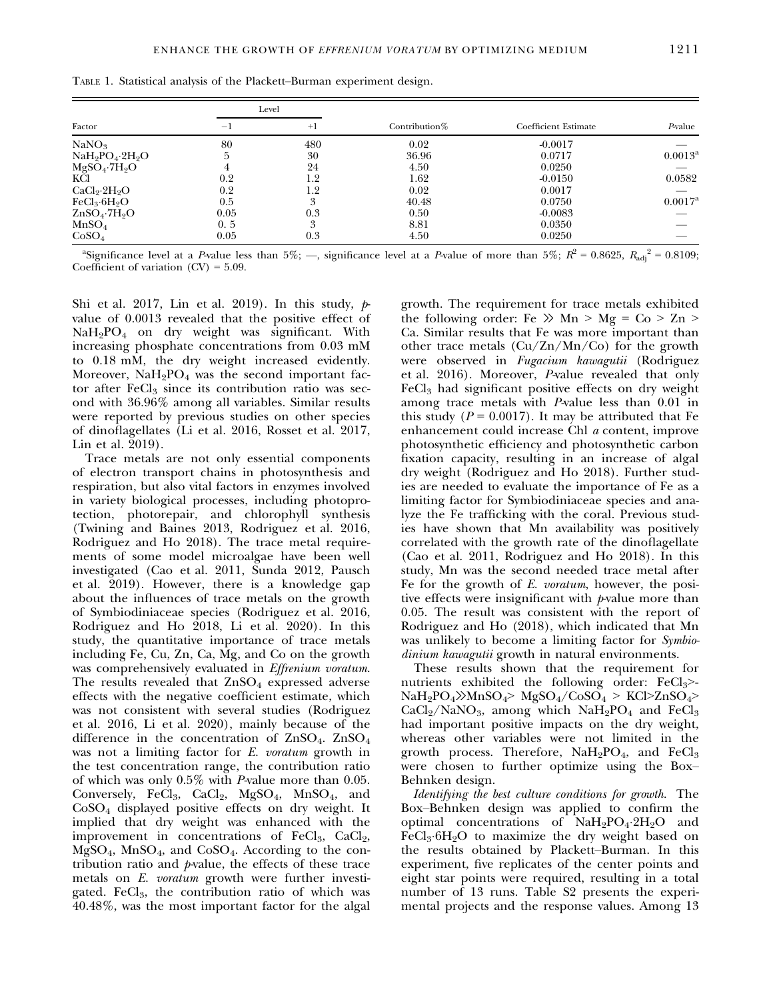|                                      | Level |      |                  |                             |                  |
|--------------------------------------|-------|------|------------------|-----------------------------|------------------|
| Factor                               | $-1$  | $+1$ | Contribution $%$ | <b>Coefficient Estimate</b> | $P$ -value       |
| NaNO <sub>3</sub>                    | 80    | 480  | 0.02             | $-0.0017$                   |                  |
| $NaH_9PO_4·2H_9O$                    | 5     | 30   | 36.96            | 0.0717                      | $0.0013^{\rm a}$ |
| $MgSO_4$ .7 $H_2O$                   | 4     | 24   | 4.50             | 0.0250                      |                  |
| KCl                                  | 0.2   | 1.2  | 1.62             | $-0.0150$                   | 0.0582           |
| CaCl <sub>2</sub> ·2H <sub>2</sub> O | 0.2   | 1.2  | 0.02             | 0.0017                      |                  |
| FeCl <sub>3</sub> ·6H <sub>9</sub> O | 0.5   | 3    | 40.48            | 0.0750                      | $0.0017^{\rm a}$ |
| $ZnSO_4$ -7 $H_2O$                   | 0.05  | 0.3  | 0.50             | $-0.0083$                   |                  |
| MnSO <sub>4</sub>                    | 0.5   | 3    | 8.81             | 0.0350                      |                  |
| CoSO <sub>4</sub>                    | 0.05  | 0.3  | 4.50             | 0.0250                      |                  |

TABLE 1. Statistical analysis of the Plackett–Burman experiment design.

<sup>a</sup>Significance level at a P-value less than 5%; —, significance level at a P-value of more than 5%;  $R^2 = 0.8625$ ,  $R_{\text{adj}}^2 = 0.8109$ ; Coefficient of variation  $(CV) = 5.09$ .

Shi et al. 2017, Lin et al. 2019). In this study,  $p$ value of 0.0013 revealed that the positive effect of NaH2PO4 on dry weight was significant. With increasing phosphate concentrations from 0.03 mM to 0.18 mM, the dry weight increased evidently. Moreover,  $NaH<sub>2</sub>PO<sub>4</sub>$  was the second important factor after  $FeCl<sub>3</sub>$  since its contribution ratio was second with 36.96% among all variables. Similar results were reported by previous studies on other species of dinoflagellates (Li et al. 2016, Rosset et al. 2017, Lin et al. 2019).

Trace metals are not only essential components of electron transport chains in photosynthesis and respiration, but also vital factors in enzymes involved in variety biological processes, including photoprotection, photorepair, and chlorophyll synthesis (Twining and Baines 2013, Rodriguez et al. 2016, Rodriguez and Ho 2018). The trace metal requirements of some model microalgae have been well investigated (Cao et al. 2011, Sunda 2012, Pausch et al. 2019). However, there is a knowledge gap about the influences of trace metals on the growth of Symbiodiniaceae species (Rodriguez et al. 2016, Rodriguez and Ho 2018, Li et al. 2020). In this study, the quantitative importance of trace metals including Fe, Cu, Zn, Ca, Mg, and Co on the growth was comprehensively evaluated in *Effrenium voratum*. The results revealed that  $ZnSO<sub>4</sub>$  expressed adverse effects with the negative coefficient estimate, which was not consistent with several studies (Rodriguez et al. 2016, Li et al. 2020), mainly because of the difference in the concentration of  $\text{ZnSO}_4$ .  $\text{ZnSO}_4$ was not a limiting factor for E. voratum growth in the test concentration range, the contribution ratio of which was only 0.5% with P-value more than 0.05. Conversely, FeCl<sub>3</sub>, CaCl<sub>2</sub>, MgSO<sub>4</sub>, MnSO<sub>4</sub>, and CoSO4 displayed positive effects on dry weight. It implied that dry weight was enhanced with the improvement in concentrations of  $FeCl<sub>3</sub>$ ,  $CaCl<sub>2</sub>$ , MgSO4, MnSO4, and CoSO4. According to the contribution ratio and  $p$ -value, the effects of these trace metals on E. *voratum* growth were further investigated. Fe $Cl<sub>3</sub>$ , the contribution ratio of which was 40.48%, was the most important factor for the algal growth. The requirement for trace metals exhibited the following order: Fe  $\gg$  Mn  $>$  Mg = Co  $>$  Zn  $>$ Ca. Similar results that Fe was more important than other trace metals (Cu/Zn/Mn/Co) for the growth were observed in Fugacium kawagutii (Rodriguez et al. 2016). Moreover, P-value revealed that only  $FeCl<sub>3</sub>$  had significant positive effects on dry weight among trace metals with P-value less than 0.01 in this study ( $P = 0.0017$ ). It may be attributed that Fe enhancement could increase Chl a content, improve photosynthetic efficiency and photosynthetic carbon fixation capacity, resulting in an increase of algal dry weight (Rodriguez and Ho 2018). Further studies are needed to evaluate the importance of Fe as a limiting factor for Symbiodiniaceae species and analyze the Fe trafficking with the coral. Previous studies have shown that Mn availability was positively correlated with the growth rate of the dinoflagellate (Cao et al. 2011, Rodriguez and Ho 2018). In this study, Mn was the second needed trace metal after Fe for the growth of E. voratum, however, the positive effects were insignificant with  *value more than* 0.05. The result was consistent with the report of Rodriguez and Ho (2018), which indicated that Mn was unlikely to become a limiting factor for Symbiodinium kawagutii growth in natural environments.

These results shown that the requirement for nutrients exhibited the following order:  $FeCl<sub>3</sub>$ NaH2PO4≫MnSO4> MgSO4/CoSO4 > KCl>ZnSO4>  $CaCl<sub>2</sub>/NaNO<sub>3</sub>$ , among which NaH<sub>2</sub>PO<sub>4</sub> and FeCl<sub>3</sub> had important positive impacts on the dry weight, whereas other variables were not limited in the growth process. Therefore,  $NaH_2PO_4$ , and  $FeCl_3$ were chosen to further optimize using the Box– Behnken design.

Identifying the best culture conditions for growth. The Box–Behnken design was applied to confirm the optimal concentrations of NaH2PO42H2O and  $FeCl<sub>3</sub>·6H<sub>2</sub>O$  to maximize the dry weight based on the results obtained by Plackett–Burman. In this experiment, five replicates of the center points and eight star points were required, resulting in a total number of 13 runs. Table S2 presents the experimental projects and the response values. Among 13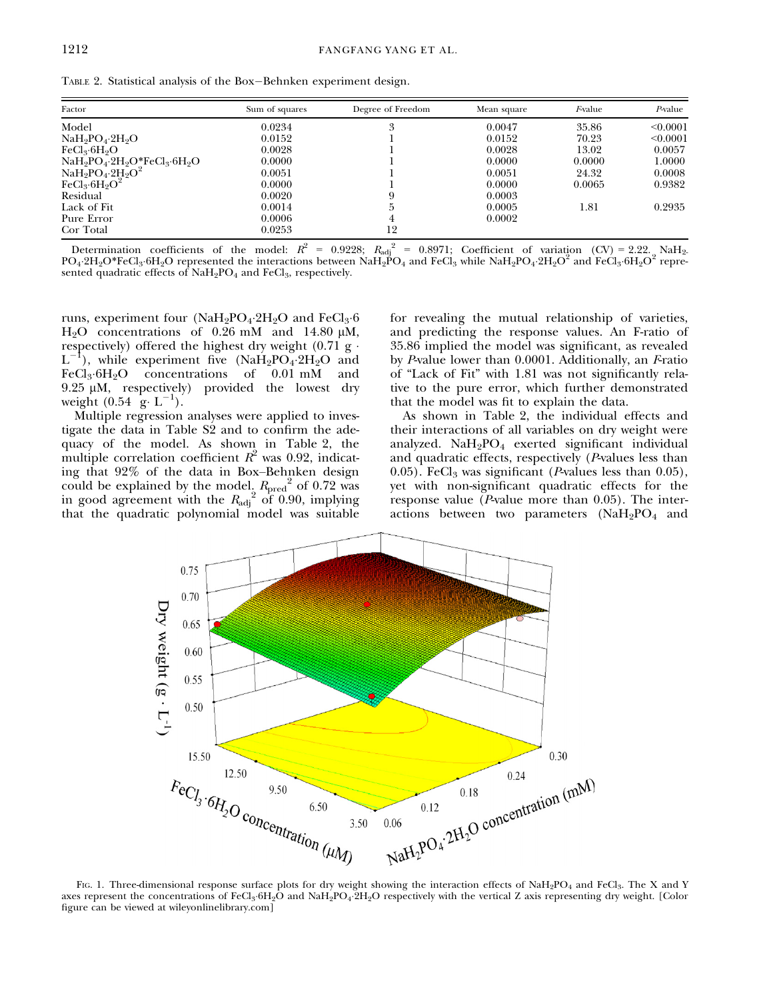TABLE 2. Statistical analysis of the Box-Behnken experiment design.

| Factor                                      | Sum of squares | Degree of Freedom | Mean square | Fvalue | $P$ -value |
|---------------------------------------------|----------------|-------------------|-------------|--------|------------|
| Model                                       | 0.0234         | 3                 | 0.0047      | 35.86  | < 0.0001   |
| $NaH9PO4·2H9O$                              | 0.0152         |                   | 0.0152      | 70.23  | < 0.0001   |
| FeCl <sub>3</sub> ·6H <sub>9</sub> O        | 0.0028         |                   | 0.0028      | 13.02  | 0.0057     |
| $NaH_2PO_4 \cdot 2H_2O^*FeCl_3 \cdot 6H_2O$ | 0.0000         |                   | 0.0000      | 0.0000 | 1.0000     |
| $NaH_2PO_4·2H_2O^2$                         | 0.0051         |                   | 0.0051      | 24.32  | 0.0008     |
| $FeCl3·6H2O2$                               | 0.0000         |                   | 0.0000      | 0.0065 | 0.9382     |
| Residual                                    | 0.0020         |                   | 0.0003      |        |            |
| Lack of Fit                                 | 0.0014         |                   | 0.0005      | 1.81   | 0.2935     |
| Pure Error                                  | 0.0006         |                   | 0.0002      |        |            |
| Cor Total                                   | 0.0253         | 12                |             |        |            |

Determination coefficients of the model:  $R^2 = 0.9228$ ;  $R_{\text{adj}}^2 = 0.8971$ ; Coefficient of variation (CV) = 2.22. NaH<sub>2</sub>.  $PO_4$ : $2H_2O*FeCl_3$ : $6H_2O$  represented the interactions between NaH $_2PO_4$  and  $FeCl_3$  while NaH<sub>2</sub>PO<sub>4</sub>.2H<sub>2</sub>O<sup>2</sup> and  $FeCl_3$ : $6H_2O^2$  represented quadratic effects of  $NAH_2PO_4$  and  $FeCl_3$ , respectively.

runs, experiment four  $(NaH_2PO_4.2H_2O$  and  $FeCl_3.6$  $H<sub>2</sub>O$  concentrations of 0.26 mM and 14.80  $\mu$ M, respectively) offered the highest dry weight  $(0.71 \text{ g} \cdot$  $L^-$ <sup>1</sup>), while experiment five  $(Na\dot{H}_2PO_4.2H_2O$  and  $Cl_3.6H_9O$  concentrations of 0.01 mM and  $FeCl<sub>3</sub>·6H<sub>2</sub>O$  concentrations of 0.01 mM 9.25  $\mu$ M, respectively) provided the lowest dry weight  $(0.54 \text{ g} \cdot \text{L}^{-1})$ .

Multiple regression analyses were applied to investigate the data in Table S2 and to confirm the adequacy of the model. As shown in Table 2, the multiple correlation coefficient  $R^2$  was 0.92, indicating that 92% of the data in Box–Behnken design could be explained by the model,  $R_{pred}^2$  of 0.72 was in good agreement with the  $R_{\text{adj}}^2$  of 0.90, implying that the quadratic polynomial model was suitable

for revealing the mutual relationship of varieties, and predicting the response values. An F-ratio of 35.86 implied the model was significant, as revealed by P-value lower than  $0.0001$ . Additionally, an F-ratio of "Lack of Fit" with 1.81 was not significantly relative to the pure error, which further demonstrated that the model was fit to explain the data.

As shown in Table 2, the individual effects and their interactions of all variables on dry weight were analyzed.  $NAH_2PO_4$  exerted significant individual and quadratic effects, respectively  $(P$ -values less than 0.05). FeCl<sub>3</sub> was significant (*P*-values less than  $0.05$ ), yet with non-significant quadratic effects for the response value ( $\overline{P}$ -value more than 0.05). The interactions between two parameters  $(NaH<sub>2</sub>PO<sub>4</sub>$  and



FIG. 1. Three-dimensional response surface plots for dry weight showing the interaction effects of NaH<sub>2</sub>PO<sub>4</sub> and FeCl<sub>3</sub>. The X and Y axes represent the concentrations of FeCl<sub>3</sub>.6H<sub>2</sub>O and NaH<sub>2</sub>PO<sub>4</sub>.2H<sub>2</sub>O respectively with the vertical Z axis representing dry weight. [Color figure can be viewed at [wileyonlinelibrary.com](www.wileyonlinelibrary.com)]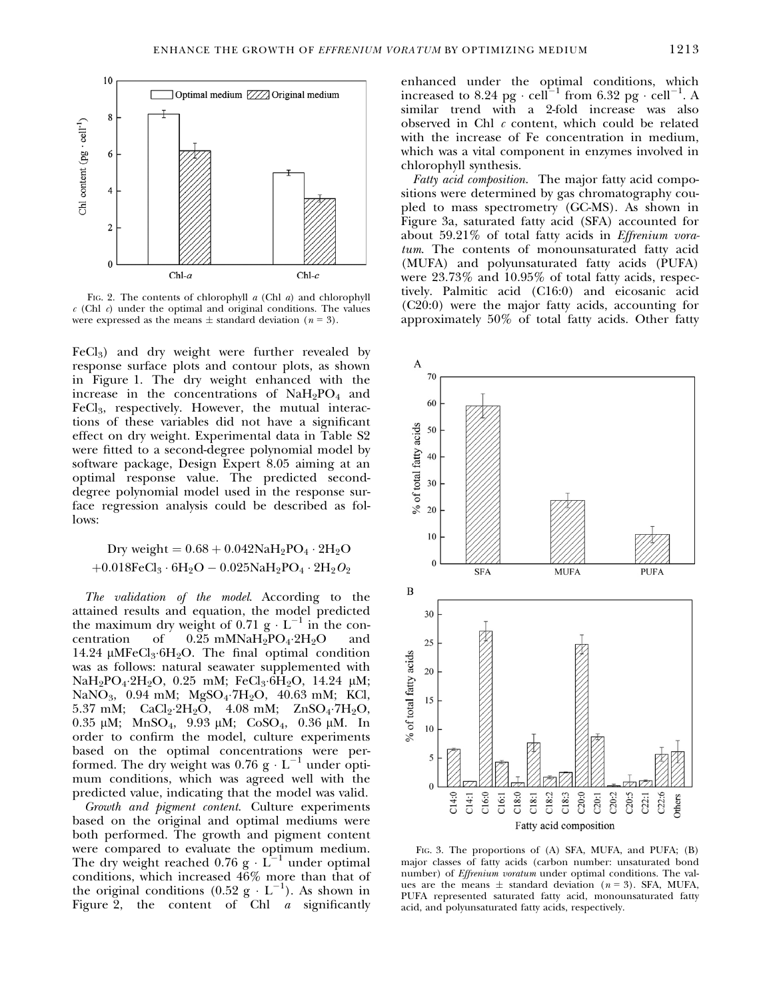

FIG. 2. The contents of chlorophyll  $a$  (Chl  $a$ ) and chlorophyll  $c$  (Chl  $c$ ) under the optimal and original conditions. The values were expressed as the means  $\pm$  standard deviation (n = 3).

 $FeCl<sub>3</sub>$ ) and dry weight were further revealed by response surface plots and contour plots, as shown in Figure 1. The dry weight enhanced with the increase in the concentrations of  $NaH<sub>2</sub>PO<sub>4</sub>$  and FeCl<sub>3</sub>, respectively. However, the mutual interactions of these variables did not have a significant effect on dry weight. Experimental data in Table S2 were fitted to a second-degree polynomial model by software package, Design Expert 8.05 aiming at an optimal response value. The predicted seconddegree polynomial model used in the response surface regression analysis could be described as follows:

$$
\begin{aligned} \text{Dry weight} &= 0.68 + 0.042 \text{NaH}_2 \text{PO}_4 \cdot 2 \text{H}_2 \text{O} \\ + 0.018 \text{FeCl}_3 \cdot 6 \text{H}_2 \text{O} - 0.025 \text{NaH}_2 \text{PO}_4 \cdot 2 \text{H}_2 \text{O}_2 \end{aligned}
$$

The validation of the model. According to the attained results and equation, the model predicted the maximum dry weight of 0.71 g  $\cdot$  L<sup>-1</sup> in the concentration of 0.25 mMNaH<sub>2</sub>PO<sub>4</sub>.2H<sub>2</sub>O and 0.25 mMNaH<sub>2</sub>PO<sub>4</sub>.2H<sub>2</sub>O 14.24  $\mu$ MFeCl<sub>3</sub>.6H<sub>2</sub>O. The final optimal condition was as follows: natural seawater supplemented with NaH<sub>2</sub>PO<sub>4</sub>.2H<sub>2</sub>O, 0.25 mM; FeCl<sub>3</sub>.6H<sub>2</sub>O, 14.24  $\mu$ M; NaNO<sub>3</sub>, 0.94 mM; MgSO<sub>4</sub>.7H<sub>2</sub>O, 40.63 mM; KCl, 5.37 mM;  $CaCl_2·2H_2O$ , 4.08 mM;  $ZnSO_4·7H_2O$ , 0.35  $\mu$ M; MnSO<sub>4</sub>, 9.93  $\mu$ M; CoSO<sub>4</sub>, 0.36  $\mu$ M. In order to confirm the model, culture experiments based on the optimal concentrations were performed. The dry weight was  $0.76$  g  $\cdot$  L<sup>-1</sup> under optimum conditions, which was agreed well with the predicted value, indicating that the model was valid.

Growth and pigment content. Culture experiments based on the original and optimal mediums were both performed. The growth and pigment content were compared to evaluate the optimum medium. The dry weight reached  $0.76$  g  $\cdot$  L<sup>-1</sup> under optimal conditions, which increased 46% more than that of the original conditions  $(0.52 \text{ g} \cdot \text{L}^{-1})$ . As shown in Figure 2, the content of Chl *a* significantly enhanced under the optimal conditions, which increased to 8.24 pg  $\cdot$  cell<sup>-1</sup> from 6.32 pg  $\cdot$  cell<sup>-1</sup>. similar trend with a 2-fold increase was also observed in Chl  $c$  content, which could be related with the increase of Fe concentration in medium, which was a vital component in enzymes involved in chlorophyll synthesis.

Fatty acid composition. The major fatty acid compositions were determined by gas chromatography coupled to mass spectrometry (GC-MS). As shown in Figure 3a, saturated fatty acid (SFA) accounted for about 59.21% of total fatty acids in Effrenium voratum. The contents of monounsaturated fatty acid (MUFA) and polyunsaturated fatty acids (PUFA) were 23.73% and 10.95% of total fatty acids, respectively. Palmitic acid (C16:0) and eicosanic acid (C20:0) were the major fatty acids, accounting for approximately 50% of total fatty acids. Other fatty



FIG. 3. The proportions of (A) SFA, MUFA, and PUFA; (B) major classes of fatty acids (carbon number: unsaturated bond number) of Effrenium voratum under optimal conditions. The values are the means  $\pm$  standard deviation (n = 3). SFA, MUFA, PUFA represented saturated fatty acid, monounsaturated fatty acid, and polyunsaturated fatty acids, respectively.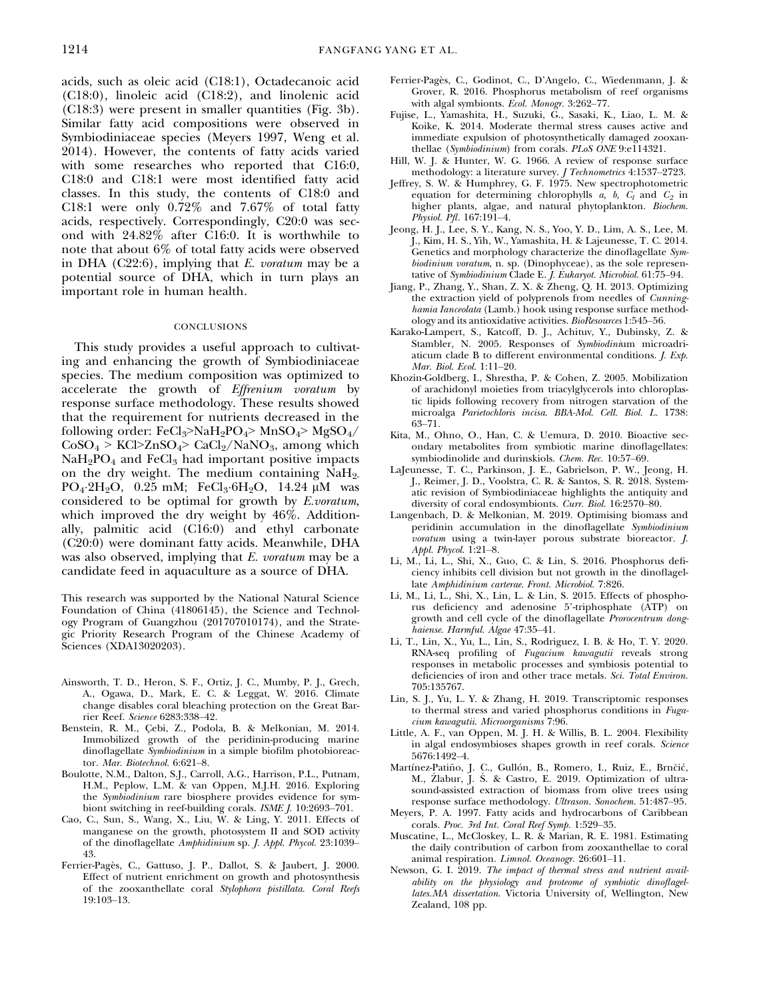acids, such as oleic acid (C18:1), Octadecanoic acid (C18:0), linoleic acid (C18:2), and linolenic acid (C18:3) were present in smaller quantities (Fig. 3b). Similar fatty acid compositions were observed in Symbiodiniaceae species (Meyers 1997, Weng et al. 2014). However, the contents of fatty acids varied with some researches who reported that C16:0, C18:0 and C18:1 were most identified fatty acid classes. In this study, the contents of C18:0 and C18:1 were only 0.72% and 7.67% of total fatty acids, respectively. Correspondingly, C20:0 was second with 24.82% after C16:0. It is worthwhile to note that about 6% of total fatty acids were observed in DHA  $(C22:6)$ , implying that E. voratum may be a potential source of DHA, which in turn plays an important role in human health.

### **CONCLUSIONS**

This study provides a useful approach to cultivating and enhancing the growth of Symbiodiniaceae species. The medium composition was optimized to accelerate the growth of Effrenium voratum by response surface methodology. These results showed that the requirement for nutrients decreased in the following order:  $FeCl<sub>3</sub> > NaH<sub>2</sub>PO<sub>4</sub> > MnSO<sub>4</sub> > MgSO<sub>4</sub>/$  $CoSO_4 > KCl > ZnSO_4 > CaCl_2/NaNO_3$ , among which  $NaH<sub>2</sub>PO<sub>4</sub>$  and FeCl<sub>3</sub> had important positive impacts on the dry weight. The medium containing NaH2- PO<sub>4</sub>.2H<sub>2</sub>O, 0.25 mM; FeCl<sub>3</sub>.6H<sub>2</sub>O, 14.24  $\mu$ M was considered to be optimal for growth by E.voratum, which improved the dry weight by 46%. Additionally, palmitic acid (C16:0) and ethyl carbonate (C20:0) were dominant fatty acids. Meanwhile, DHA was also observed, implying that E. voratum may be a candidate feed in aquaculture as a source of DHA.

This research was supported by the National Natural Science Foundation of China (41806145), the Science and Technology Program of Guangzhou (201707010174), and the Strategic Priority Research Program of the Chinese Academy of Sciences (XDA13020203).

- Ainsworth, T. D., Heron, S. F., Ortiz, J. C., Mumby, P. J., Grech, A., Ogawa, D., Mark, E. C. & Leggat, W. 2016. Climate change disables coral bleaching protection on the Great Barrier Reef. Science 6283:338–42.
- Benstein, R. M., Cebi, Z., Podola, B. & Melkonian, M. 2014. Immobilized growth of the peridinin-producing marine dinoflagellate Symbiodinium in a simple biofilm photobioreactor. Mar. Biotechnol. 6:621-8.
- Boulotte, N.M., Dalton, S.J., Carroll, A.G., Harrison, P.L., Putnam, H.M., Peplow, L.M. & van Oppen, M.J.H. 2016. Exploring the Symbiodinium rare biosphere provides evidence for symbiont switching in reef-building corals. ISME J. 10:2693–701.
- Cao, C., Sun, S., Wang, X., Liu, W. & Ling, Y. 2011. Effects of manganese on the growth, photosystem II and SOD activity of the dinoflagellate Amphidinium sp. J. Appl. Phycol. 23:1039– 43.
- Ferrier-Pages, C., Gattuso, J. P., Dallot, S. & Jaubert, J. 2000. Effect of nutrient enrichment on growth and photosynthesis of the zooxanthellate coral Stylophora pistillata. Coral Reefs 19:103–13.
- Ferrier-Pages, C., Godinot, C., D'Angelo, C., Wiedenmann, J. & Grover, R. 2016. Phosphorus metabolism of reef organisms with algal symbionts. Ecol. Monogr. 3:262–77.
- Fujise, L., Yamashita, H., Suzuki, G., Sasaki, K., Liao, L. M. & Koike, K. 2014. Moderate thermal stress causes active and immediate expulsion of photosynthetically damaged zooxanthellae (Symbiodinium) from corals. PLoS ONE 9:e114321.
- Hill, W. J. & Hunter, W. G. 1966. A review of response surface methodology: a literature survey. J Technometrics 4:1537–2723.
- Jeffrey, S. W. & Humphrey, G. F. 1975. New spectrophotometric equation for determining chlorophylls  $a$ ,  $b$ ,  $C_l$  and  $C_2$  in higher plants, algae, and natural phytoplankton. Biochem. Physiol. Pfl. 167:191-4.
- Jeong, H. J., Lee, S. Y., Kang, N. S., Yoo, Y. D., Lim, A. S., Lee, M. J., Kim, H. S., Yih, W., Yamashita, H. & Lajeunesse, T. C. 2014. Genetics and morphology characterize the dinoflagellate Symbiodinium voratum, n. sp. (Dinophyceae), as the sole representative of Symbiodinium Clade E. J. Eukaryot. Microbiol. 61:75–94.
- Jiang, P., Zhang, Y., Shan, Z. X. & Zheng, Q. H. 2013. Optimizing the extraction yield of polyprenols from needles of Cunninghamia Ianceolata (Lamb.) hook using response surface methodology and its antioxidative activities. BioResources 1:545–56.
- Karako-Lampert, S., Katcoff, D. J., Achituv, Y., Dubinsky, Z. & Stambler, N. 2005. Responses of Symbiodinium microadriaticum clade B to different environmental conditions. J. Exp. Mar. Biol. Ecol. 1:11–20.
- Khozin-Goldberg, I., Shrestha, P. & Cohen, Z. 2005. Mobilization of arachidonyl moieties from triacylglycerols into chloroplastic lipids following recovery from nitrogen starvation of the microalga Parietochloris incisa. BBA-Mol. Cell. Biol. L. 1738: 63–71.
- Kita, M., Ohno, O., Han, C. & Uemura, D. 2010. Bioactive secondary metabolites from symbiotic marine dinoflagellates: symbiodinolide and durinskiols. Chem. Rec. 10:57–69.
- LaJeunesse, T. C., Parkinson, J. E., Gabrielson, P. W., Jeong, H. J., Reimer, J. D., Voolstra, C. R. & Santos, S. R. 2018. Systematic revision of Symbiodiniaceae highlights the antiquity and diversity of coral endosymbionts. Curr. Biol. 16:2570–80.
- Langenbach, D. & Melkonian, M. 2019. Optimising biomass and peridinin accumulation in the dinoflagellate Symbiodinium voratum using a twin-layer porous substrate bioreactor. J. Appl. Phycol. 1:21-8.
- Li, M., Li, L., Shi, X., Guo, C. & Lin, S. 2016. Phosphorus deficiency inhibits cell division but not growth in the dinoflagellate Amphidinium carterae. Front. Microbiol. 7:826.
- Li, M., Li, L., Shi, X., Lin, L. & Lin, S. 2015. Effects of phosphorus deficiency and adenosine 5'-triphosphate (ATP) on growth and cell cycle of the dinoflagellate Prorocentrum donghaiense. Harmful. Algae 47:35–41.
- Li, T., Lin, X., Yu, L., Lin, S., Rodriguez, I. B. & Ho, T. Y. 2020. RNA-seq profiling of Fugacium kawagutii reveals strong responses in metabolic processes and symbiosis potential to deficiencies of iron and other trace metals. Sci. Total Environ. 705:135767.
- Lin, S. J., Yu, L. Y. & Zhang, H. 2019. Transcriptomic responses to thermal stress and varied phosphorus conditions in Fugacium kawagutii. Microorganisms 7:96.
- Little, A. F., van Oppen, M. J. H. & Willis, B. L. 2004. Flexibility in algal endosymbioses shapes growth in reef corals. Science 5676:1492–4.
- Martínez-Patiño, J. C., Gullón, B., Romero, I., Ruiz, E., Brnčić, M., Zlabur, J. S. & Castro, E. 2019. Optimization of ultra sound-assisted extraction of biomass from olive trees using response surface methodology. Ultrason. Sonochem. 51:487–95.
- Meyers, P. A. 1997. Fatty acids and hydrocarbons of Caribbean corals. Proc. 3rd Int. Coral Reef Symp. 1:529–35.
- Muscatine, L., McCloskey, L. R. & Marian, R. E. 1981. Estimating the daily contribution of carbon from zooxanthellae to coral animal respiration. Limnol. Oceanogr. 26:601–11.
- Newson, G. I. 2019. The impact of thermal stress and nutrient availability on the physiology and proteome of symbiotic dinoflagellates.MA dissertation. Victoria University of, Wellington, New Zealand, 108 pp.